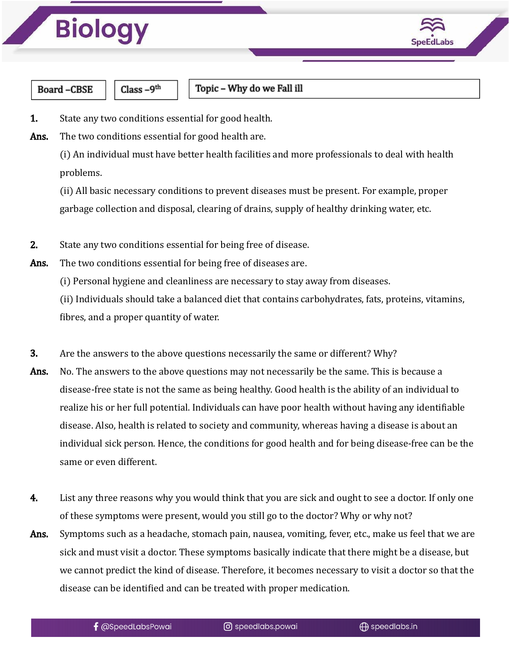



**Board-CBSE** 

Class-9<sup>th</sup>

Topic - Why do we Fall ill

- **1.** State any two conditions essential for good health.
- Ans. The two conditions essential for good health are.

(i) An individual must have better health facilities and more professionals to deal with health problems.

(ii) All basic necessary conditions to prevent diseases must be present. For example, proper garbage collection and disposal, clearing of drains, supply of healthy drinking water, etc.

- 2. State any two conditions essential for being free of disease.
- Ans. The two conditions essential for being free of diseases are.
	- (i) Personal hygiene and cleanliness are necessary to stay away from diseases.

(ii) Individuals should take a balanced diet that contains carbohydrates, fats, proteins, vitamins, fibres, and a proper quantity of water.

- 3. Are the answers to the above questions necessarily the same or different? Why?
- Ans. No. The answers to the above questions may not necessarily be the same. This is because a disease-free state is not the same as being healthy. Good health is the ability of an individual to realize his or her full potential. Individuals can have poor health without having any identifiable disease. Also, health is related to society and community, whereas having a disease is about an individual sick person. Hence, the conditions for good health and for being disease-free can be the same or even different.
- 4. List any three reasons why you would think that you are sick and ought to see a doctor. If only one of these symptoms were present, would you still go to the doctor? Why or why not?
- Ans. Symptoms such as a headache, stomach pain, nausea, vomiting, fever, etc., make us feel that we are sick and must visit a doctor. These symptoms basically indicate that there might be a disease, but we cannot predict the kind of disease. Therefore, it becomes necessary to visit a doctor so that the disease can be identified and can be treated with proper medication.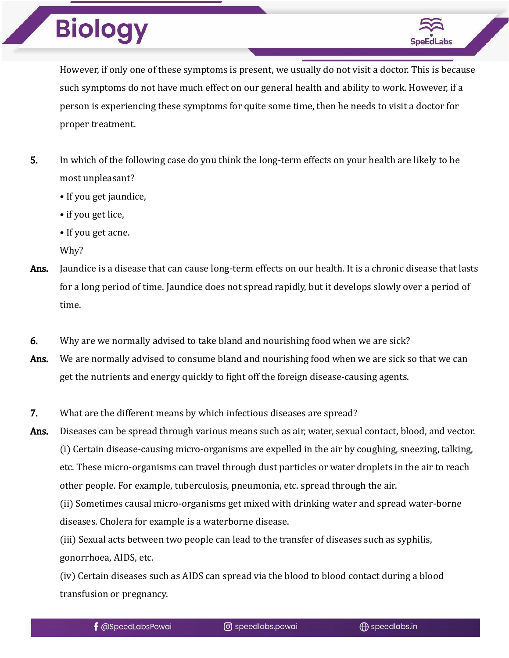## **Biology**



However, if only one of these symptoms is present, we usually do not visit a doctor. This is because such symptoms do not have much effect on our general health and ability to work. However, if a person is experiencing these symptoms for quite some time, then he needs to visit a doctor for proper treatment.

- 5. In which of the following case do you think the long-term effects on your health are likely to be most unpleasant?
	- If you get jaundice,
	- if you get lice,
	- If you get acne.
	- Why?
- Ans. Jaundice is a disease that can cause long-term effects on our health. It is a chronic disease that lasts for a long period of time. Jaundice does not spread rapidly, but it develops slowly over a period of time.
- 6. Why are we normally advised to take bland and nourishing food when we are sick?
- Ans. We are normally advised to consume bland and nourishing food when we are sick so that we can get the nutrients and energy quickly to fight off the foreign disease-causing agents.
- 7. What are the different means by which infectious diseases are spread?
- Ans. Diseases can be spread through various means such as air, water, sexual contact, blood, and vector. (i) Certain disease-causing micro-organisms are expelled in the air by coughing, sneezing, talking, etc. These micro-organisms can travel through dust particles or water droplets in the air to reach other people. For example, tuberculosis, pneumonia, etc. spread through the air.

(ii) Sometimes causal micro-organisms get mixed with drinking water and spread water-borne diseases. Cholera for example is a waterborne disease.

(iii) Sexual acts between two people can lead to the transfer of diseases such as syphilis, gonorrhoea, AIDS, etc.

(iv) Certain diseases such as AIDS can spread via the blood to blood contact during a blood transfusion or pregnancy.